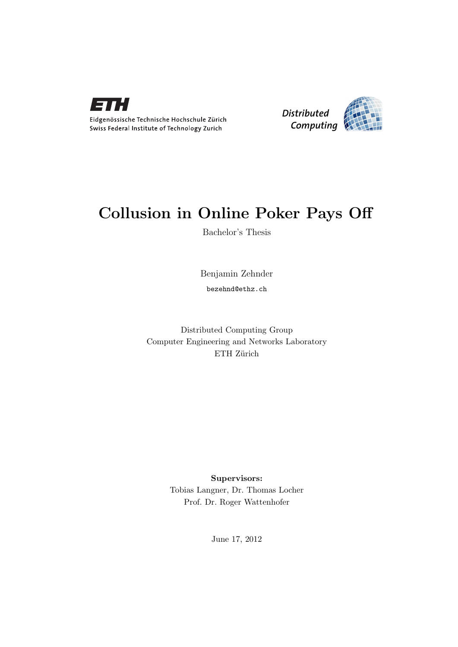



## Collusion in Online Poker Pays Off

Bachelor's Thesis

Benjamin Zehnder

bezehnd@ethz.ch

Distributed Computing Group Computer Engineering and Networks Laboratory ETH Zürich

> Supervisors: Tobias Langner, Dr. Thomas Locher Prof. Dr. Roger Wattenhofer

> > June 17, 2012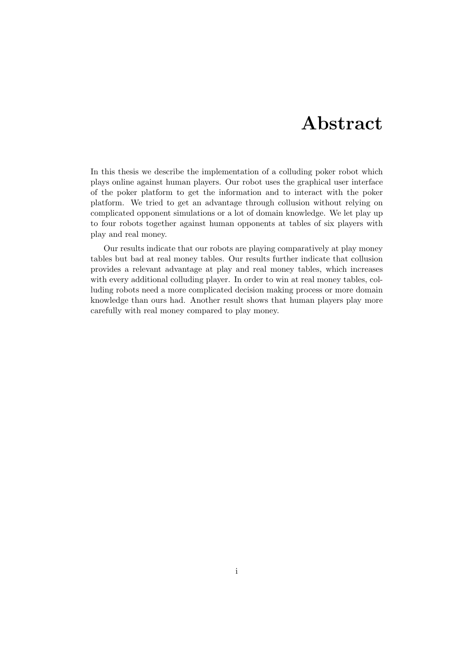## Abstract

<span id="page-1-0"></span>In this thesis we describe the implementation of a colluding poker robot which plays online against human players. Our robot uses the graphical user interface of the poker platform to get the information and to interact with the poker platform. We tried to get an advantage through collusion without relying on complicated opponent simulations or a lot of domain knowledge. We let play up to four robots together against human opponents at tables of six players with play and real money.

Our results indicate that our robots are playing comparatively at play money tables but bad at real money tables. Our results further indicate that collusion provides a relevant advantage at play and real money tables, which increases with every additional colluding player. In order to win at real money tables, colluding robots need a more complicated decision making process or more domain knowledge than ours had. Another result shows that human players play more carefully with real money compared to play money.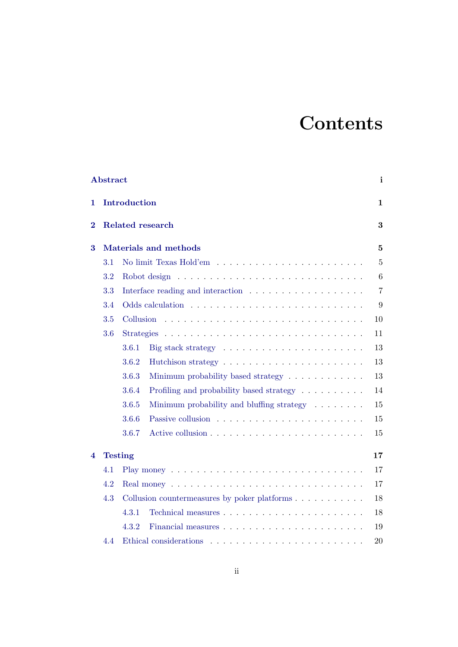# **Contents**

|          | <b>Abstract</b> |                   |                                                                      | i              |
|----------|-----------------|-------------------|----------------------------------------------------------------------|----------------|
| 1        |                 | Introduction      |                                                                      | $\mathbf 1$    |
| $\bf{2}$ |                 |                   | <b>Related research</b>                                              | 3              |
| 3        |                 |                   | <b>Materials and methods</b>                                         | $\overline{5}$ |
|          | 3.1             |                   |                                                                      | $\overline{5}$ |
|          | 3.2             |                   |                                                                      | 6              |
|          | 3.3             |                   |                                                                      | $\overline{7}$ |
|          | 3.4             |                   |                                                                      | 9              |
|          | 3.5             | Collusion         |                                                                      | 10             |
|          | 3.6             | <b>Strategies</b> |                                                                      | 11             |
|          |                 | 3.6.1             | Big stack strategy $\dots \dots \dots \dots \dots \dots \dots \dots$ | 13             |
|          |                 | 3.6.2             | Hutchison strategy $\dots \dots \dots \dots \dots \dots \dots \dots$ | 13             |
|          |                 | 3.6.3             | Minimum probability based strategy                                   | 13             |
|          |                 | 3.6.4             | Profiling and probability based strategy $\ldots \ldots \ldots$      | 14             |
|          |                 | 3.6.5             | Minimum probability and bluffing strategy $\dots \dots$              | 15             |
|          |                 | 3.6.6             |                                                                      | 15             |
|          |                 | 3.6.7             |                                                                      | 15             |
| 4        |                 | <b>Testing</b>    |                                                                      | 17             |
|          | 4.1             |                   |                                                                      | 17             |
|          | 4.2             |                   |                                                                      | 17             |
|          | 4.3             |                   |                                                                      | 18             |
|          |                 | 4.3.1             |                                                                      | 18             |
|          |                 | 4.3.2             |                                                                      | 19             |
|          | 4.4             |                   |                                                                      | 20             |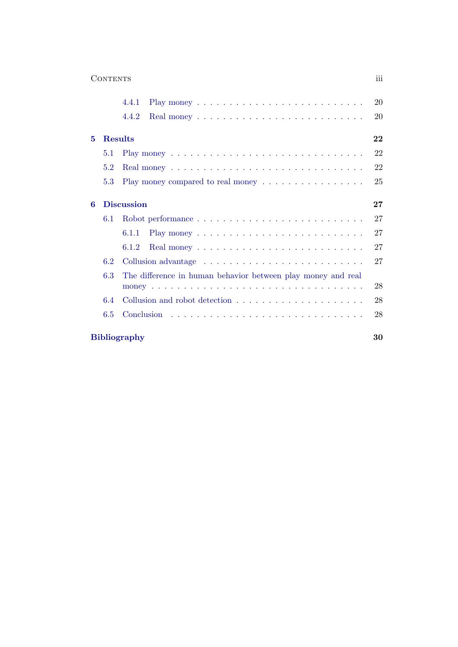|     | 4.4.1                                                                                         |
|-----|-----------------------------------------------------------------------------------------------|
|     |                                                                                               |
|     | 4.4.2                                                                                         |
| 5   | Results                                                                                       |
| 5.1 |                                                                                               |
| 5.2 |                                                                                               |
| 5.3 | Play money compared to real money                                                             |
| 6   | <b>Discussion</b>                                                                             |
| 6.1 | Robot performance                                                                             |
|     | 6.1.1                                                                                         |
|     | 6.1.2                                                                                         |
| 6.2 |                                                                                               |
| 6.3 | The difference in human behavior between play money and real                                  |
|     |                                                                                               |
| 6.4 | Collusion and robot detection $\ldots$ , $\ldots$ , $\ldots$ , $\ldots$ , $\ldots$ , $\ldots$ |
| 6.5 |                                                                                               |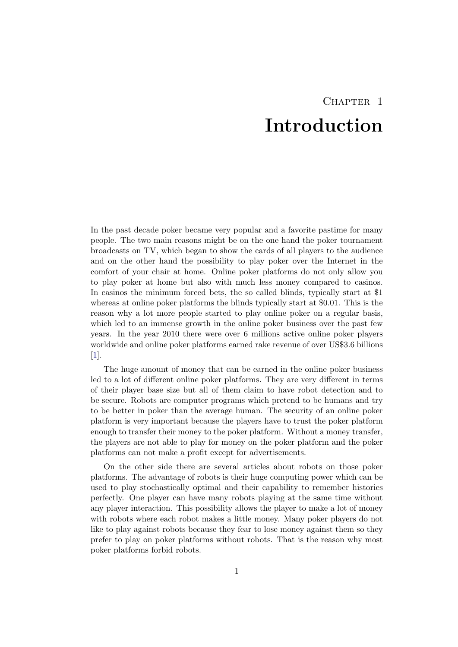## CHAPTER<sub>1</sub> Introduction

<span id="page-4-0"></span>In the past decade poker became very popular and a favorite pastime for many people. The two main reasons might be on the one hand the poker tournament broadcasts on TV, which began to show the cards of all players to the audience and on the other hand the possibility to play poker over the Internet in the comfort of your chair at home. Online poker platforms do not only allow you to play poker at home but also with much less money compared to casinos. In casinos the minimum forced bets, the so called blinds, typically start at \$1 whereas at online poker platforms the blinds typically start at \$0.01. This is the reason why a lot more people started to play online poker on a regular basis, which led to an immense growth in the online poker business over the past few years. In the year 2010 there were over 6 millions active online poker players worldwide and online poker platforms earned rake revenue of over US\$3.6 billions [\[1\]](#page-33-1).

The huge amount of money that can be earned in the online poker business led to a lot of different online poker platforms. They are very different in terms of their player base size but all of them claim to have robot detection and to be secure. Robots are computer programs which pretend to be humans and try to be better in poker than the average human. The security of an online poker platform is very important because the players have to trust the poker platform enough to transfer their money to the poker platform. Without a money transfer, the players are not able to play for money on the poker platform and the poker platforms can not make a profit except for advertisements.

On the other side there are several articles about robots on those poker platforms. The advantage of robots is their huge computing power which can be used to play stochastically optimal and their capability to remember histories perfectly. One player can have many robots playing at the same time without any player interaction. This possibility allows the player to make a lot of money with robots where each robot makes a little money. Many poker players do not like to play against robots because they fear to lose money against them so they prefer to play on poker platforms without robots. That is the reason why most poker platforms forbid robots.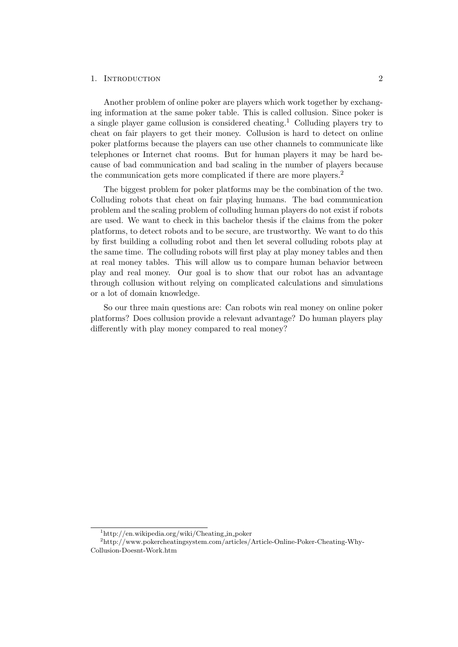#### 1. INTRODUCTION 2

Another problem of online poker are players which work together by exchanging information at the same poker table. This is called collusion. Since poker is a single player game collusion is considered cheating.<sup>1</sup> Colluding players try to cheat on fair players to get their money. Collusion is hard to detect on online poker platforms because the players can use other channels to communicate like telephones or Internet chat rooms. But for human players it may be hard because of bad communication and bad scaling in the number of players because the communication gets more complicated if there are more players.<sup>2</sup>

The biggest problem for poker platforms may be the combination of the two. Colluding robots that cheat on fair playing humans. The bad communication problem and the scaling problem of colluding human players do not exist if robots are used. We want to check in this bachelor thesis if the claims from the poker platforms, to detect robots and to be secure, are trustworthy. We want to do this by first building a colluding robot and then let several colluding robots play at the same time. The colluding robots will first play at play money tables and then at real money tables. This will allow us to compare human behavior between play and real money. Our goal is to show that our robot has an advantage through collusion without relying on complicated calculations and simulations or a lot of domain knowledge.

So our three main questions are: Can robots win real money on online poker platforms? Does collusion provide a relevant advantage? Do human players play differently with play money compared to real money?

<sup>1</sup>http://en.wikipedia.org/wiki/Cheating in poker

<sup>2</sup>http://www.pokercheatingsystem.com/articles/Article-Online-Poker-Cheating-Why-Collusion-Doesnt-Work.htm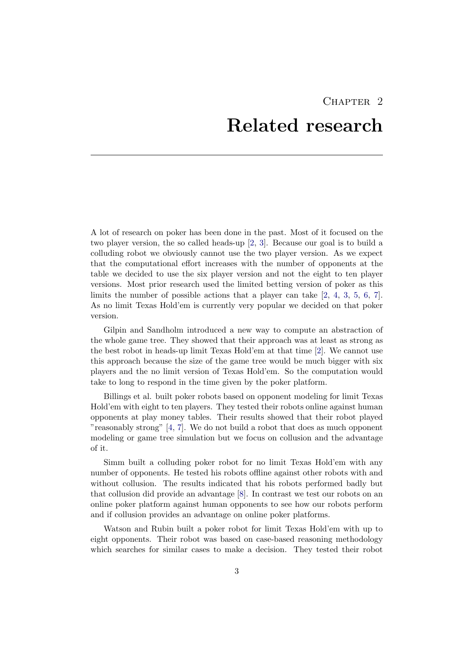## CHAPTER<sub>2</sub> Related research

<span id="page-6-0"></span>A lot of research on poker has been done in the past. Most of it focused on the two player version, the so called heads-up [\[2,](#page-33-2) [3\]](#page-33-3). Because our goal is to build a colluding robot we obviously cannot use the two player version. As we expect that the computational effort increases with the number of opponents at the table we decided to use the six player version and not the eight to ten player versions. Most prior research used the limited betting version of poker as this limits the number of possible actions that a player can take  $[2, 4, 3, 5, 6, 7]$  $[2, 4, 3, 5, 6, 7]$  $[2, 4, 3, 5, 6, 7]$  $[2, 4, 3, 5, 6, 7]$  $[2, 4, 3, 5, 6, 7]$  $[2, 4, 3, 5, 6, 7]$  $[2, 4, 3, 5, 6, 7]$  $[2, 4, 3, 5, 6, 7]$  $[2, 4, 3, 5, 6, 7]$  $[2, 4, 3, 5, 6, 7]$  $[2, 4, 3, 5, 6, 7]$ . As no limit Texas Hold'em is currently very popular we decided on that poker version.

Gilpin and Sandholm introduced a new way to compute an abstraction of the whole game tree. They showed that their approach was at least as strong as the best robot in heads-up limit Texas Hold'em at that time [\[2\]](#page-33-2). We cannot use this approach because the size of the game tree would be much bigger with six players and the no limit version of Texas Hold'em. So the computation would take to long to respond in the time given by the poker platform.

Billings et al. built poker robots based on opponent modeling for limit Texas Hold'em with eight to ten players. They tested their robots online against human opponents at play money tables. Their results showed that their robot played "reasonably strong" [\[4,](#page-33-4) [7\]](#page-33-7). We do not build a robot that does as much opponent modeling or game tree simulation but we focus on collusion and the advantage of it.

Simm built a colluding poker robot for no limit Texas Hold'em with any number of opponents. He tested his robots offline against other robots with and without collusion. The results indicated that his robots performed badly but that collusion did provide an advantage [\[8\]](#page-33-8). In contrast we test our robots on an online poker platform against human opponents to see how our robots perform and if collusion provides an advantage on online poker platforms.

Watson and Rubin built a poker robot for limit Texas Hold'em with up to eight opponents. Their robot was based on case-based reasoning methodology which searches for similar cases to make a decision. They tested their robot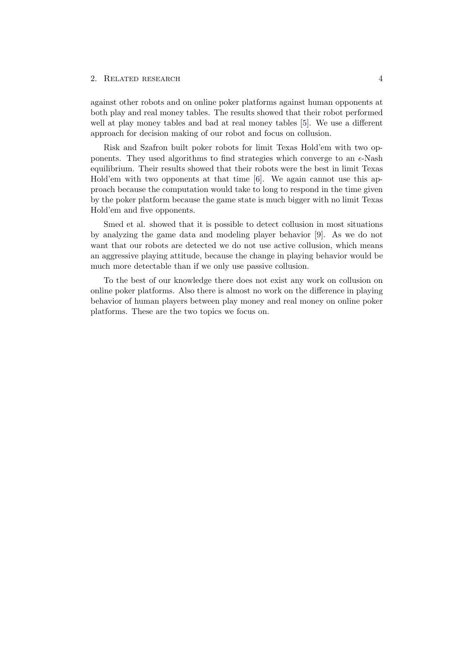#### 2. RELATED RESEARCH 4

against other robots and on online poker platforms against human opponents at both play and real money tables. The results showed that their robot performed well at play money tables and bad at real money tables [\[5\]](#page-33-5). We use a different approach for decision making of our robot and focus on collusion.

Risk and Szafron built poker robots for limit Texas Hold'em with two opponents. They used algorithms to find strategies which converge to an  $\epsilon$ -Nash equilibrium. Their results showed that their robots were the best in limit Texas Hold'em with two opponents at that time [\[6\]](#page-33-6). We again cannot use this approach because the computation would take to long to respond in the time given by the poker platform because the game state is much bigger with no limit Texas Hold'em and five opponents.

Smed et al. showed that it is possible to detect collusion in most situations by analyzing the game data and modeling player behavior [\[9\]](#page-33-9). As we do not want that our robots are detected we do not use active collusion, which means an aggressive playing attitude, because the change in playing behavior would be much more detectable than if we only use passive collusion.

To the best of our knowledge there does not exist any work on collusion on online poker platforms. Also there is almost no work on the difference in playing behavior of human players between play money and real money on online poker platforms. These are the two topics we focus on.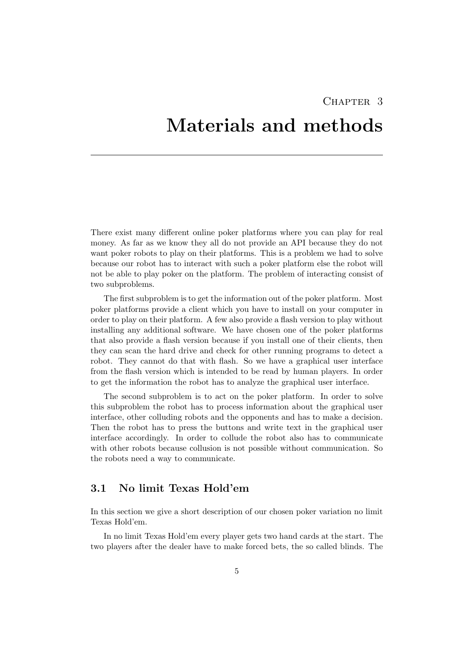## <span id="page-8-0"></span>CHAPTER<sub>3</sub> Materials and methods

There exist many different online poker platforms where you can play for real money. As far as we know they all do not provide an API because they do not want poker robots to play on their platforms. This is a problem we had to solve because our robot has to interact with such a poker platform else the robot will not be able to play poker on the platform. The problem of interacting consist of two subproblems.

The first subproblem is to get the information out of the poker platform. Most poker platforms provide a client which you have to install on your computer in order to play on their platform. A few also provide a flash version to play without installing any additional software. We have chosen one of the poker platforms that also provide a flash version because if you install one of their clients, then they can scan the hard drive and check for other running programs to detect a robot. They cannot do that with flash. So we have a graphical user interface from the flash version which is intended to be read by human players. In order to get the information the robot has to analyze the graphical user interface.

The second subproblem is to act on the poker platform. In order to solve this subproblem the robot has to process information about the graphical user interface, other colluding robots and the opponents and has to make a decision. Then the robot has to press the buttons and write text in the graphical user interface accordingly. In order to collude the robot also has to communicate with other robots because collusion is not possible without communication. So the robots need a way to communicate.

## <span id="page-8-1"></span>3.1 No limit Texas Hold'em

In this section we give a short description of our chosen poker variation no limit Texas Hold'em.

In no limit Texas Hold'em every player gets two hand cards at the start. The two players after the dealer have to make forced bets, the so called blinds. The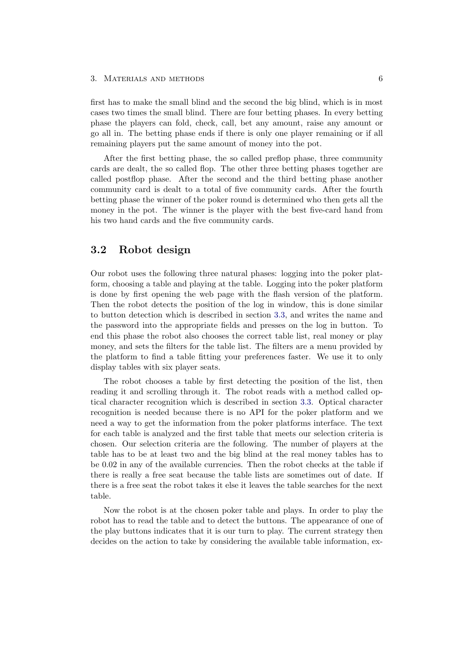first has to make the small blind and the second the big blind, which is in most cases two times the small blind. There are four betting phases. In every betting phase the players can fold, check, call, bet any amount, raise any amount or go all in. The betting phase ends if there is only one player remaining or if all remaining players put the same amount of money into the pot.

After the first betting phase, the so called preflop phase, three community cards are dealt, the so called flop. The other three betting phases together are called postflop phase. After the second and the third betting phase another community card is dealt to a total of five community cards. After the fourth betting phase the winner of the poker round is determined who then gets all the money in the pot. The winner is the player with the best five-card hand from his two hand cards and the five community cards.

## <span id="page-9-0"></span>3.2 Robot design

Our robot uses the following three natural phases: logging into the poker platform, choosing a table and playing at the table. Logging into the poker platform is done by first opening the web page with the flash version of the platform. Then the robot detects the position of the log in window, this is done similar to button detection which is described in section [3.3,](#page-10-0) and writes the name and the password into the appropriate fields and presses on the log in button. To end this phase the robot also chooses the correct table list, real money or play money, and sets the filters for the table list. The filters are a menu provided by the platform to find a table fitting your preferences faster. We use it to only display tables with six player seats.

The robot chooses a table by first detecting the position of the list, then reading it and scrolling through it. The robot reads with a method called optical character recognition which is described in section [3.3.](#page-10-0) Optical character recognition is needed because there is no API for the poker platform and we need a way to get the information from the poker platforms interface. The text for each table is analyzed and the first table that meets our selection criteria is chosen. Our selection criteria are the following. The number of players at the table has to be at least two and the big blind at the real money tables has to be 0.02 in any of the available currencies. Then the robot checks at the table if there is really a free seat because the table lists are sometimes out of date. If there is a free seat the robot takes it else it leaves the table searches for the next table.

Now the robot is at the chosen poker table and plays. In order to play the robot has to read the table and to detect the buttons. The appearance of one of the play buttons indicates that it is our turn to play. The current strategy then decides on the action to take by considering the available table information, ex-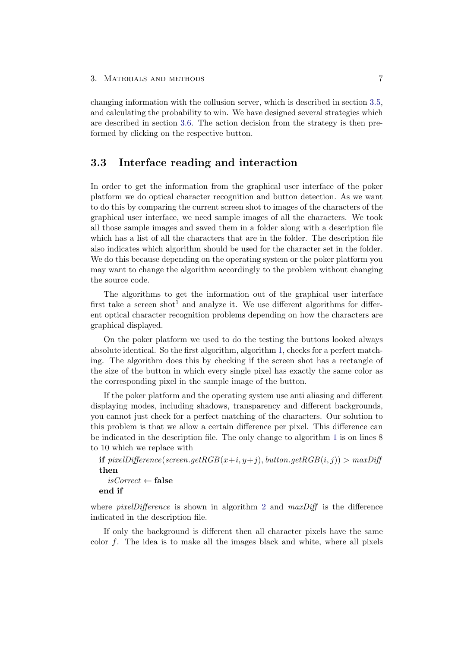changing information with the collusion server, which is described in section [3.5,](#page-13-0) and calculating the probability to win. We have designed several strategies which are described in section [3.6.](#page-14-0) The action decision from the strategy is then preformed by clicking on the respective button.

## <span id="page-10-0"></span>3.3 Interface reading and interaction

In order to get the information from the graphical user interface of the poker platform we do optical character recognition and button detection. As we want to do this by comparing the current screen shot to images of the characters of the graphical user interface, we need sample images of all the characters. We took all those sample images and saved them in a folder along with a description file which has a list of all the characters that are in the folder. The description file also indicates which algorithm should be used for the character set in the folder. We do this because depending on the operating system or the poker platform you may want to change the algorithm accordingly to the problem without changing the source code.

The algorithms to get the information out of the graphical user interface first take a screen shot<sup>1</sup> and analyze it. We use different algorithms for different optical character recognition problems depending on how the characters are graphical displayed.

On the poker platform we used to do the testing the buttons looked always absolute identical. So the first algorithm, algorithm [1,](#page-11-0) checks for a perfect matching. The algorithm does this by checking if the screen shot has a rectangle of the size of the button in which every single pixel has exactly the same color as the corresponding pixel in the sample image of the button.

If the poker platform and the operating system use anti aliasing and different displaying modes, including shadows, transparency and different backgrounds, you cannot just check for a perfect matching of the characters. Our solution to this problem is that we allow a certain difference per pixel. This difference can be indicated in the description file. The only change to algorithm [1](#page-11-0) is on lines 8 to 10 which we replace with

**if** pixelDifference(screen.getRGB(x+i,y+j), button.getRGB(i,j)) > maxDiff then

```
isCorrect \leftarrow falseend if
```
where *pixelDifference* is shown in algorithm [2](#page-12-1) and  $maxDiff$  is the difference indicated in the description file.

If only the background is different then all character pixels have the same color  $f$ . The idea is to make all the images black and white, where all pixels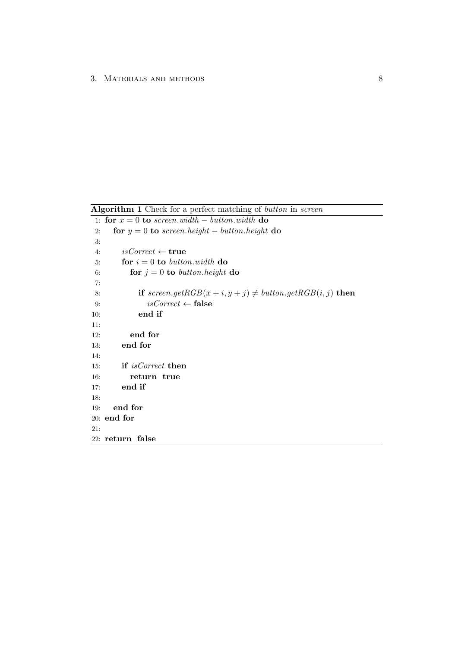<span id="page-11-0"></span>Algorithm 1 Check for a perfect matching of button in screen

1: for  $x = 0$  to screen.width – button.width do 2: for  $y = 0$  to screen.height – button.height do 3: 4:  $isCorrect \leftarrow true$ 5: **for**  $i = 0$  to button.width do 6: **for**  $j = 0$  to button.height do 7: 8: **if** screen.getRGB $(x + i, y + j) \neq button.getRGB(i, j)$  then 9:  $isCorrect \leftarrow false$ 10: end if 11: 12: end for 13: end for 14: 15: if isCorrect then 16: return true 17: end if 18: 19: end for 20: end for 21: 22: return false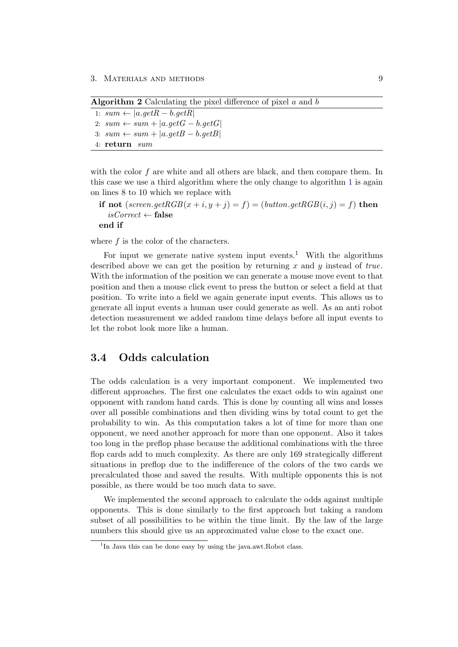<span id="page-12-1"></span>**Algorithm 2** Calculating the pixel difference of pixel  $a$  and  $b$ 

1: sum ←  $|a.getR - b.getR|$ 2:  $sum \leftarrow sum + |a.getG - b.getG|$ 3:  $sum \leftarrow sum + |a.getB - b.getB|$ 4: return sum

with the color  $f$  are white and all others are black, and then compare them. In this case we use a third algorithm where the only change to algorithm [1](#page-11-0) is again on lines 8 to 10 which we replace with

if not  $(screen.getRGB(x + i, y + j) = f) = (button.getRGB(i, j) = f)$  then  $isCorrect \leftarrow false$ 

end if

where f is the color of the characters.

For input we generate native system input events.<sup>1</sup> With the algorithms described above we can get the position by returning x and y instead of true. With the information of the position we can generate a mouse move event to that position and then a mouse click event to press the button or select a field at that position. To write into a field we again generate input events. This allows us to generate all input events a human user could generate as well. As an anti robot detection measurement we added random time delays before all input events to let the robot look more like a human.

## <span id="page-12-0"></span>3.4 Odds calculation

The odds calculation is a very important component. We implemented two different approaches. The first one calculates the exact odds to win against one opponent with random hand cards. This is done by counting all wins and losses over all possible combinations and then dividing wins by total count to get the probability to win. As this computation takes a lot of time for more than one opponent, we need another approach for more than one opponent. Also it takes too long in the preflop phase because the additional combinations with the three flop cards add to much complexity. As there are only 169 strategically different situations in preflop due to the indifference of the colors of the two cards we precalculated those and saved the results. With multiple opponents this is not possible, as there would be too much data to save.

We implemented the second approach to calculate the odds against multiple opponents. This is done similarly to the first approach but taking a random subset of all possibilities to be within the time limit. By the law of the large numbers this should give us an approximated value close to the exact one.

<sup>&</sup>lt;sup>1</sup>In Java this can be done easy by using the java.awt.Robot class.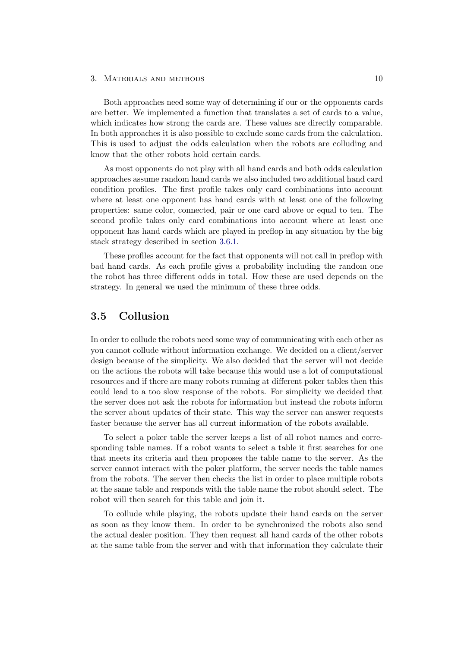Both approaches need some way of determining if our or the opponents cards are better. We implemented a function that translates a set of cards to a value, which indicates how strong the cards are. These values are directly comparable. In both approaches it is also possible to exclude some cards from the calculation. This is used to adjust the odds calculation when the robots are colluding and know that the other robots hold certain cards.

As most opponents do not play with all hand cards and both odds calculation approaches assume random hand cards we also included two additional hand card condition profiles. The first profile takes only card combinations into account where at least one opponent has hand cards with at least one of the following properties: same color, connected, pair or one card above or equal to ten. The second profile takes only card combinations into account where at least one opponent has hand cards which are played in preflop in any situation by the big stack strategy described in section [3.6.1.](#page-16-0)

These profiles account for the fact that opponents will not call in preflop with bad hand cards. As each profile gives a probability including the random one the robot has three different odds in total. How these are used depends on the strategy. In general we used the minimum of these three odds.

## <span id="page-13-0"></span>3.5 Collusion

In order to collude the robots need some way of communicating with each other as you cannot collude without information exchange. We decided on a client/server design because of the simplicity. We also decided that the server will not decide on the actions the robots will take because this would use a lot of computational resources and if there are many robots running at different poker tables then this could lead to a too slow response of the robots. For simplicity we decided that the server does not ask the robots for information but instead the robots inform the server about updates of their state. This way the server can answer requests faster because the server has all current information of the robots available.

To select a poker table the server keeps a list of all robot names and corresponding table names. If a robot wants to select a table it first searches for one that meets its criteria and then proposes the table name to the server. As the server cannot interact with the poker platform, the server needs the table names from the robots. The server then checks the list in order to place multiple robots at the same table and responds with the table name the robot should select. The robot will then search for this table and join it.

To collude while playing, the robots update their hand cards on the server as soon as they know them. In order to be synchronized the robots also send the actual dealer position. They then request all hand cards of the other robots at the same table from the server and with that information they calculate their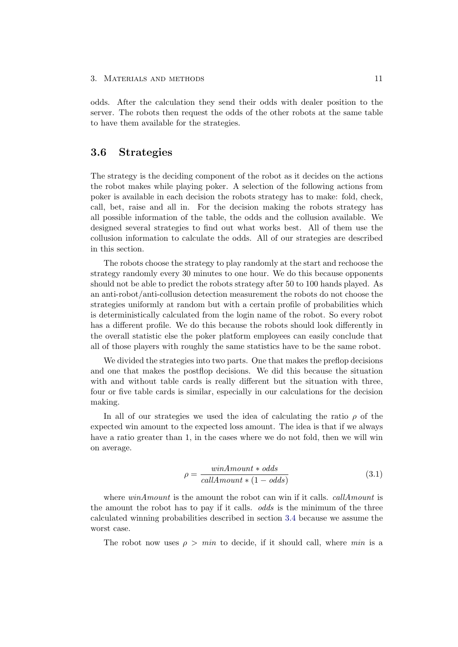odds. After the calculation they send their odds with dealer position to the server. The robots then request the odds of the other robots at the same table to have them available for the strategies.

## <span id="page-14-0"></span>3.6 Strategies

The strategy is the deciding component of the robot as it decides on the actions the robot makes while playing poker. A selection of the following actions from poker is available in each decision the robots strategy has to make: fold, check, call, bet, raise and all in. For the decision making the robots strategy has all possible information of the table, the odds and the collusion available. We designed several strategies to find out what works best. All of them use the collusion information to calculate the odds. All of our strategies are described in this section.

The robots choose the strategy to play randomly at the start and rechoose the strategy randomly every 30 minutes to one hour. We do this because opponents should not be able to predict the robots strategy after 50 to 100 hands played. As an anti-robot/anti-collusion detection measurement the robots do not choose the strategies uniformly at random but with a certain profile of probabilities which is deterministically calculated from the login name of the robot. So every robot has a different profile. We do this because the robots should look differently in the overall statistic else the poker platform employees can easily conclude that all of those players with roughly the same statistics have to be the same robot.

We divided the strategies into two parts. One that makes the preflop decisions and one that makes the postflop decisions. We did this because the situation with and without table cards is really different but the situation with three, four or five table cards is similar, especially in our calculations for the decision making.

<span id="page-14-1"></span>In all of our strategies we used the idea of calculating the ratio  $\rho$  of the expected win amount to the expected loss amount. The idea is that if we always have a ratio greater than 1, in the cases where we do not fold, then we will win on average.

$$
\rho = \frac{winAmount * odds}{callAmount * (1 - odds)}\tag{3.1}
$$

where  $winAmount$  is the amount the robot can win if it calls. *callAmount* is the amount the robot has to pay if it calls. odds is the minimum of the three calculated winning probabilities described in section [3.4](#page-12-0) because we assume the worst case.

The robot now uses  $\rho > min$  to decide, if it should call, where min is a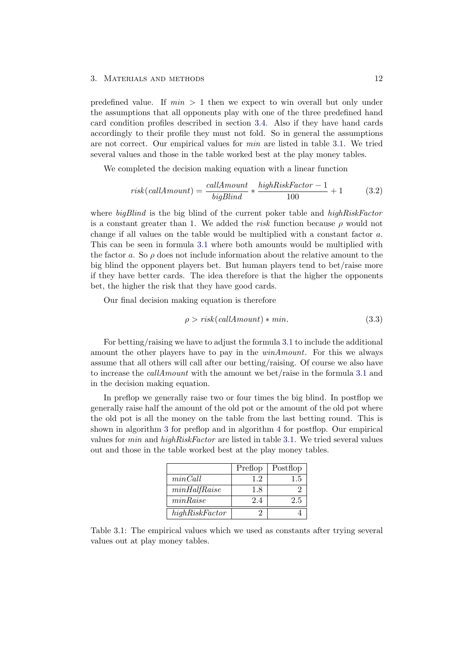predefined value. If  $min > 1$  then we expect to win overall but only under the assumptions that all opponents play with one of the three predefined hand card condition profiles described in section [3.4.](#page-12-0) Also if they have hand cards accordingly to their profile they must not fold. So in general the assumptions are not correct. Our empirical values for min are listed in table [3.1.](#page-15-0) We tried several values and those in the table worked best at the play money tables.

We completed the decision making equation with a linear function

$$
risk(callAmount) = \frac{callAmount}{bigBlind} * \frac{highRiskFactor - 1}{100} + 1
$$
 (3.2)

where *bigBlind* is the big blind of the current poker table and *highRiskFactor* is a constant greater than 1. We added the risk function because  $\rho$  would not change if all values on the table would be multiplied with a constant factor a. This can be seen in formula [3.1](#page-14-1) where both amounts would be multiplied with the factor a. So  $\rho$  does not include information about the relative amount to the big blind the opponent players bet. But human players tend to bet/raise more if they have better cards. The idea therefore is that the higher the opponents bet, the higher the risk that they have good cards.

Our final decision making equation is therefore

$$
\rho > risk(callAmount) * min.
$$
\n(3.3)

For betting/raising we have to adjust the formula [3.1](#page-14-1) to include the additional amount the other players have to pay in the winAmount. For this we always assume that all others will call after our betting/raising. Of course we also have to increase the callAmount with the amount we bet/raise in the formula [3.1](#page-14-1) and in the decision making equation.

In preflop we generally raise two or four times the big blind. In postflop we generally raise half the amount of the old pot or the amount of the old pot where the old pot is all the money on the table from the last betting round. This is shown in algorithm [3](#page-16-3) for preflop and in algorithm [4](#page-17-1) for postflop. Our empirical values for min and highRiskFactor are listed in table [3.1.](#page-15-0) We tried several values out and those in the table worked best at the play money tables.

|                | Preflop | Postflop |
|----------------|---------|----------|
| minCall        | 12      | 1.5      |
| minHalfRaise   | 1.8     |          |
| minRaise       | 2.4     | 2.5      |
| highRiskFactor |         |          |

<span id="page-15-0"></span>Table 3.1: The empirical values which we used as constants after trying several values out at play money tables.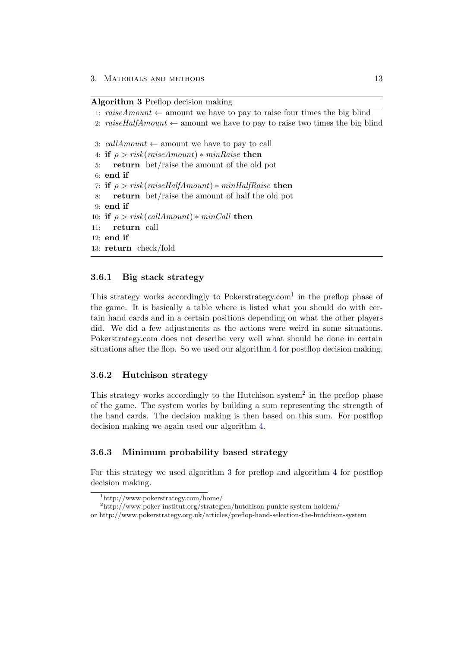#### <span id="page-16-3"></span>Algorithm 3 Preflop decision making

```
1: raise/4mm \text{i} mount \leftarrow amount we have to pay to raise four times the big blind
2: raiseHalfAmount \leftarrow amount we have to pay to raise two times the big blind
3: callAmount \leftarrow amount we have to pay to call
4: if \rho > risk(raiseAmount) * minRaise then
5: return bet/raise the amount of the old pot
6: end if
7: if \rho > risk(raiseHalfAmount) * minHalfRange then
8: return bet/raise the amount of half the old pot
9: end if
10: if \rho > risk(callAmount) * minCall then
11: return call
12: end if
13: return check/fold
```
### <span id="page-16-0"></span>3.6.1 Big stack strategy

This strategy works accordingly to Pokerstrategy.com<sup>1</sup> in the preflop phase of the game. It is basically a table where is listed what you should do with certain hand cards and in a certain positions depending on what the other players did. We did a few adjustments as the actions were weird in some situations. Pokerstrategy.com does not describe very well what should be done in certain situations after the flop. So we used our algorithm [4](#page-17-1) for postflop decision making.

### <span id="page-16-1"></span>3.6.2 Hutchison strategy

This strategy works accordingly to the Hutchison system<sup>2</sup> in the preflop phase of the game. The system works by building a sum representing the strength of the hand cards. The decision making is then based on this sum. For postflop decision making we again used our algorithm [4.](#page-17-1)

#### <span id="page-16-2"></span>3.6.3 Minimum probability based strategy

For this strategy we used algorithm [3](#page-16-3) for preflop and algorithm [4](#page-17-1) for postflop decision making.

<sup>1</sup>http://www.pokerstrategy.com/home/

<sup>2</sup>http://www.poker-institut.org/strategien/hutchison-punkte-system-holdem/

or http://www.pokerstrategy.org.uk/articles/preflop-hand-selection-the-hutchison-system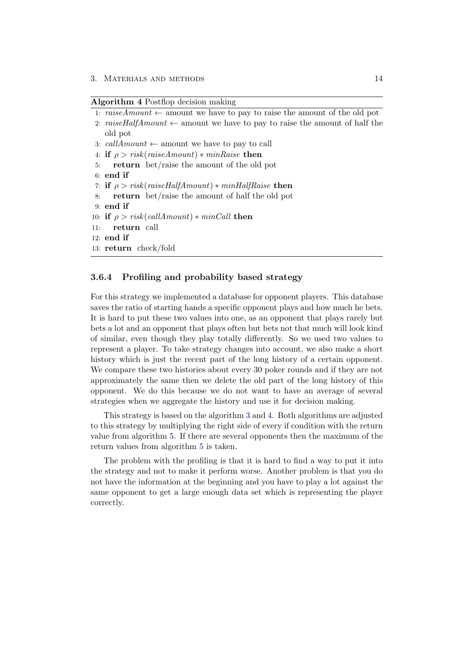#### <span id="page-17-1"></span>Algorithm 4 Postflop decision making

- 1: raiseAmount  $\leftarrow$  amount we have to pay to raise the amount of the old pot
- 2: raiseHalfAmount  $\leftarrow$  amount we have to pay to raise the amount of half the old pot
- 3: callAmount  $\leftarrow$  amount we have to pay to call
- 4: if  $\rho > risk(raiseAmount) * minRaise$  then
- 5: return bet/raise the amount of the old pot
- 6: end if
- 7: if  $\rho > risk(raiseHalfAmount) * minHalfRange$  then
- 8: return bet/raise the amount of half the old pot
- 9: end if
- 10: if  $\rho > risk(callAmount) * minCall$  then
- 11: return call

12: end if

13: return check/fold

### <span id="page-17-0"></span>3.6.4 Profiling and probability based strategy

For this strategy we implemented a database for opponent players. This database saves the ratio of starting hands a specific opponent plays and how much he bets. It is hard to put these two values into one, as an opponent that plays rarely but bets a lot and an opponent that plays often but bets not that much will look kind of similar, even though they play totally differently. So we used two values to represent a player. To take strategy changes into account, we also make a short history which is just the recent part of the long history of a certain opponent. We compare these two histories about every 30 poker rounds and if they are not approximately the same then we delete the old part of the long history of this opponent. We do this because we do not want to have an average of several strategies when we aggregate the history and use it for decision making.

This strategy is based on the algorithm [3](#page-16-3) and [4.](#page-17-1) Both algorithms are adjusted to this strategy by multiplying the right side of every if condition with the return value from algorithm [5.](#page-18-3) If there are several opponents then the maximum of the return values from algorithm [5](#page-18-3) is taken.

The problem with the profiling is that it is hard to find a way to put it into the strategy and not to make it perform worse. Another problem is that you do not have the information at the beginning and you have to play a lot against the same opponent to get a large enough data set which is representing the player correctly.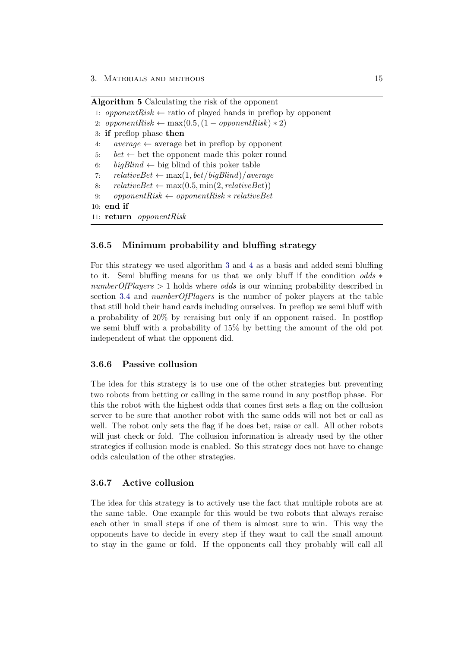<span id="page-18-3"></span>

| Algorithm 5 Calculating the risk of the opponent |  |  |  |  |
|--------------------------------------------------|--|--|--|--|
|--------------------------------------------------|--|--|--|--|

```
1: opponentRisk \leftarrow ratio of played hands in preflop by opponent
```
- 2: opponentRisk  $\leftarrow \max(0.5, (1 opponentRisk) * 2)$
- 3: if preflop phase then
- 4: average  $\leftarrow$  average bet in preflop by opponent
- 5: bet  $\leftarrow$  bet the opponent made this poker round
- 6: bigBlind  $\leftarrow$  big blind of this poker table
- 7:  $relativeSet \leftarrow \max(1, bet/bigBlind)/average$
- 8:  $relativeDet \leftarrow \max(0.5, \min(2, relativeDet))$
- 9: opponentRisk  $\leftarrow$  opponentRisk  $\ast$  relativeBet

```
10: end if
```

```
11: return opponentRisk
```
### <span id="page-18-0"></span>3.6.5 Minimum probability and bluffing strategy

For this strategy we used algorithm [3](#page-16-3) and [4](#page-17-1) as a basis and added semi bluffing to it. Semi bluffing means for us that we only bluff if the condition *odds*  $*$  $numberOfPlayers > 1$  holds where *odds* is our winning probability described in section [3.4](#page-12-0) and *numberOfPlayers* is the number of poker players at the table that still hold their hand cards including ourselves. In preflop we semi bluff with a probability of 20% by reraising but only if an opponent raised. In postflop we semi bluff with a probability of 15% by betting the amount of the old pot independent of what the opponent did.

#### <span id="page-18-1"></span>3.6.6 Passive collusion

The idea for this strategy is to use one of the other strategies but preventing two robots from betting or calling in the same round in any postflop phase. For this the robot with the highest odds that comes first sets a flag on the collusion server to be sure that another robot with the same odds will not bet or call as well. The robot only sets the flag if he does bet, raise or call. All other robots will just check or fold. The collusion information is already used by the other strategies if collusion mode is enabled. So this strategy does not have to change odds calculation of the other strategies.

### <span id="page-18-2"></span>3.6.7 Active collusion

The idea for this strategy is to actively use the fact that multiple robots are at the same table. One example for this would be two robots that always reraise each other in small steps if one of them is almost sure to win. This way the opponents have to decide in every step if they want to call the small amount to stay in the game or fold. If the opponents call they probably will call all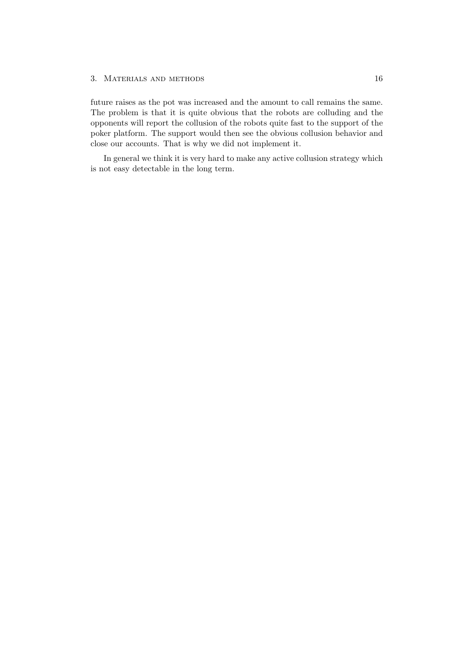future raises as the pot was increased and the amount to call remains the same. The problem is that it is quite obvious that the robots are colluding and the opponents will report the collusion of the robots quite fast to the support of the poker platform. The support would then see the obvious collusion behavior and close our accounts. That is why we did not implement it.

In general we think it is very hard to make any active collusion strategy which is not easy detectable in the long term.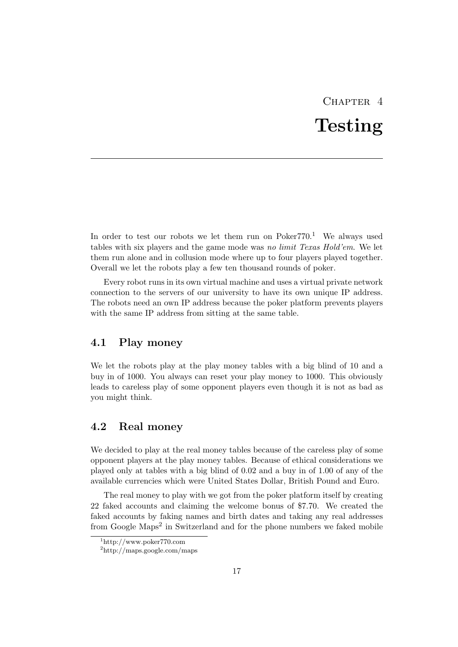# $CHAPTER$  4 Testing

<span id="page-20-0"></span>In order to test our robots we let them run on  $Poker770<sup>1</sup>$  We always used tables with six players and the game mode was no limit Texas Hold'em. We let them run alone and in collusion mode where up to four players played together. Overall we let the robots play a few ten thousand rounds of poker.

Every robot runs in its own virtual machine and uses a virtual private network connection to the servers of our university to have its own unique IP address. The robots need an own IP address because the poker platform prevents players with the same IP address from sitting at the same table.

## <span id="page-20-1"></span>4.1 Play money

We let the robots play at the play money tables with a big blind of 10 and a buy in of 1000. You always can reset your play money to 1000. This obviously leads to careless play of some opponent players even though it is not as bad as you might think.

## <span id="page-20-2"></span>4.2 Real money

We decided to play at the real money tables because of the careless play of some opponent players at the play money tables. Because of ethical considerations we played only at tables with a big blind of 0.02 and a buy in of 1.00 of any of the available currencies which were United States Dollar, British Pound and Euro.

The real money to play with we got from the poker platform itself by creating 22 faked accounts and claiming the welcome bonus of \$7.70. We created the faked accounts by faking names and birth dates and taking any real addresses from Google Maps<sup>2</sup> in Switzerland and for the phone numbers we faked mobile

<sup>1</sup>http://www.poker770.com

 $^{2}$ http://maps.google.com/maps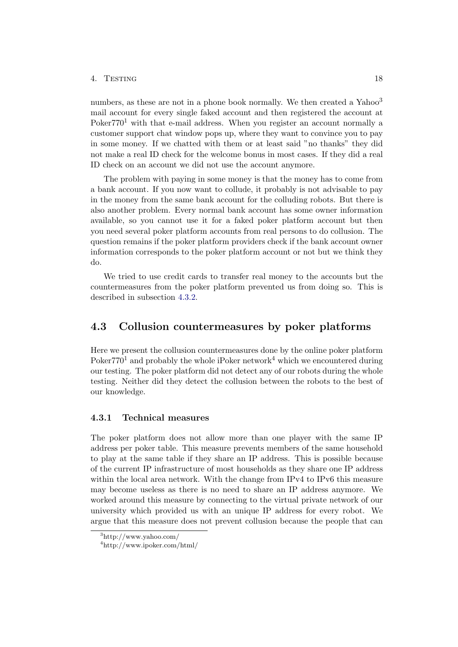#### 4. Testing 18

numbers, as these are not in a phone book normally. We then created a Yahoo<sup>3</sup> mail account for every single faked account and then registered the account at Poker $770<sup>1</sup>$  with that e-mail address. When you register an account normally a customer support chat window pops up, where they want to convince you to pay in some money. If we chatted with them or at least said "no thanks" they did not make a real ID check for the welcome bonus in most cases. If they did a real ID check on an account we did not use the account anymore.

The problem with paying in some money is that the money has to come from a bank account. If you now want to collude, it probably is not advisable to pay in the money from the same bank account for the colluding robots. But there is also another problem. Every normal bank account has some owner information available, so you cannot use it for a faked poker platform account but then you need several poker platform accounts from real persons to do collusion. The question remains if the poker platform providers check if the bank account owner information corresponds to the poker platform account or not but we think they do.

We tried to use credit cards to transfer real money to the accounts but the countermeasures from the poker platform prevented us from doing so. This is described in subsection [4.3.2.](#page-22-0)

## <span id="page-21-0"></span>4.3 Collusion countermeasures by poker platforms

Here we present the collusion countermeasures done by the online poker platform Poker $770<sup>1</sup>$  and probably the whole iPoker network<sup>4</sup> which we encountered during our testing. The poker platform did not detect any of our robots during the whole testing. Neither did they detect the collusion between the robots to the best of our knowledge.

### <span id="page-21-1"></span>4.3.1 Technical measures

The poker platform does not allow more than one player with the same IP address per poker table. This measure prevents members of the same household to play at the same table if they share an IP address. This is possible because of the current IP infrastructure of most households as they share one IP address within the local area network. With the change from IPv4 to IPv6 this measure may become useless as there is no need to share an IP address anymore. We worked around this measure by connecting to the virtual private network of our university which provided us with an unique IP address for every robot. We argue that this measure does not prevent collusion because the people that can

<sup>3</sup>http://www.yahoo.com/

<sup>4</sup>http://www.ipoker.com/html/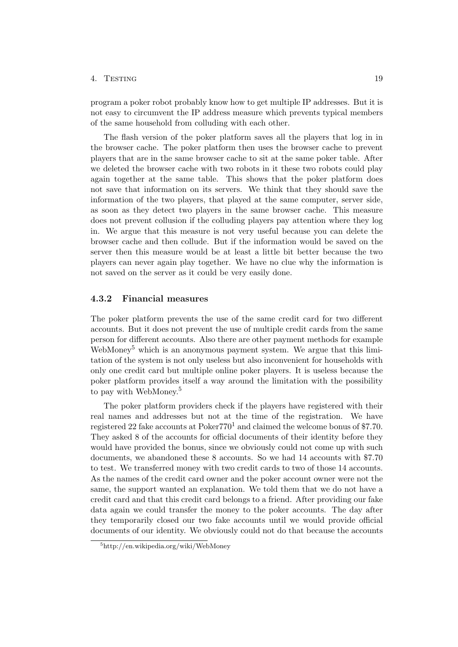#### 4. Testing 19

program a poker robot probably know how to get multiple IP addresses. But it is not easy to circumvent the IP address measure which prevents typical members of the same household from colluding with each other.

The flash version of the poker platform saves all the players that log in in the browser cache. The poker platform then uses the browser cache to prevent players that are in the same browser cache to sit at the same poker table. After we deleted the browser cache with two robots in it these two robots could play again together at the same table. This shows that the poker platform does not save that information on its servers. We think that they should save the information of the two players, that played at the same computer, server side, as soon as they detect two players in the same browser cache. This measure does not prevent collusion if the colluding players pay attention where they log in. We argue that this measure is not very useful because you can delete the browser cache and then collude. But if the information would be saved on the server then this measure would be at least a little bit better because the two players can never again play together. We have no clue why the information is not saved on the server as it could be very easily done.

### <span id="page-22-0"></span>4.3.2 Financial measures

The poker platform prevents the use of the same credit card for two different accounts. But it does not prevent the use of multiple credit cards from the same person for different accounts. Also there are other payment methods for example WebMoney<sup>5</sup> which is an anonymous payment system. We argue that this limitation of the system is not only useless but also inconvenient for households with only one credit card but multiple online poker players. It is useless because the poker platform provides itself a way around the limitation with the possibility to pay with WebMoney.<sup>5</sup>

The poker platform providers check if the players have registered with their real names and addresses but not at the time of the registration. We have registered 22 fake accounts at Poker770<sup>1</sup> and claimed the welcome bonus of \$7.70. They asked 8 of the accounts for official documents of their identity before they would have provided the bonus, since we obviously could not come up with such documents, we abandoned these 8 accounts. So we had 14 accounts with \$7.70 to test. We transferred money with two credit cards to two of those 14 accounts. As the names of the credit card owner and the poker account owner were not the same, the support wanted an explanation. We told them that we do not have a credit card and that this credit card belongs to a friend. After providing our fake data again we could transfer the money to the poker accounts. The day after they temporarily closed our two fake accounts until we would provide official documents of our identity. We obviously could not do that because the accounts

<sup>5</sup>http://en.wikipedia.org/wiki/WebMoney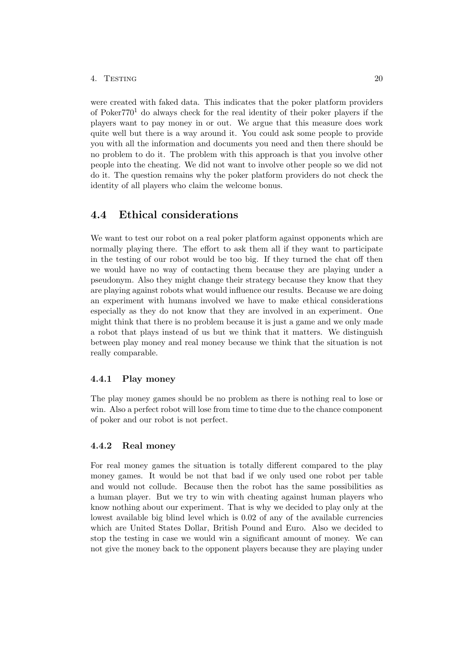## 4. TESTING 20

were created with faked data. This indicates that the poker platform providers of Poker $770<sup>1</sup>$  do always check for the real identity of their poker players if the players want to pay money in or out. We argue that this measure does work quite well but there is a way around it. You could ask some people to provide you with all the information and documents you need and then there should be no problem to do it. The problem with this approach is that you involve other people into the cheating. We did not want to involve other people so we did not do it. The question remains why the poker platform providers do not check the identity of all players who claim the welcome bonus.

## <span id="page-23-0"></span>4.4 Ethical considerations

We want to test our robot on a real poker platform against opponents which are normally playing there. The effort to ask them all if they want to participate in the testing of our robot would be too big. If they turned the chat off then we would have no way of contacting them because they are playing under a pseudonym. Also they might change their strategy because they know that they are playing against robots what would influence our results. Because we are doing an experiment with humans involved we have to make ethical considerations especially as they do not know that they are involved in an experiment. One might think that there is no problem because it is just a game and we only made a robot that plays instead of us but we think that it matters. We distinguish between play money and real money because we think that the situation is not really comparable.

#### <span id="page-23-1"></span>4.4.1 Play money

The play money games should be no problem as there is nothing real to lose or win. Also a perfect robot will lose from time to time due to the chance component of poker and our robot is not perfect.

### <span id="page-23-2"></span>4.4.2 Real money

For real money games the situation is totally different compared to the play money games. It would be not that bad if we only used one robot per table and would not collude. Because then the robot has the same possibilities as a human player. But we try to win with cheating against human players who know nothing about our experiment. That is why we decided to play only at the lowest available big blind level which is 0.02 of any of the available currencies which are United States Dollar, British Pound and Euro. Also we decided to stop the testing in case we would win a significant amount of money. We can not give the money back to the opponent players because they are playing under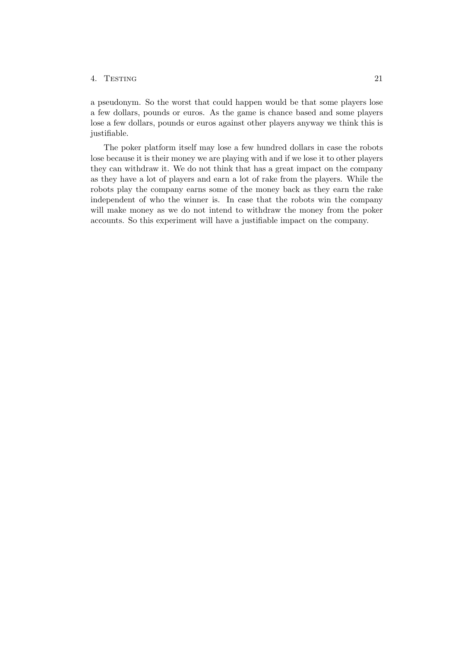#### 4. Testing 21

a pseudonym. So the worst that could happen would be that some players lose a few dollars, pounds or euros. As the game is chance based and some players lose a few dollars, pounds or euros against other players anyway we think this is justifiable.

The poker platform itself may lose a few hundred dollars in case the robots lose because it is their money we are playing with and if we lose it to other players they can withdraw it. We do not think that has a great impact on the company as they have a lot of players and earn a lot of rake from the players. While the robots play the company earns some of the money back as they earn the rake independent of who the winner is. In case that the robots win the company will make money as we do not intend to withdraw the money from the poker accounts. So this experiment will have a justifiable impact on the company.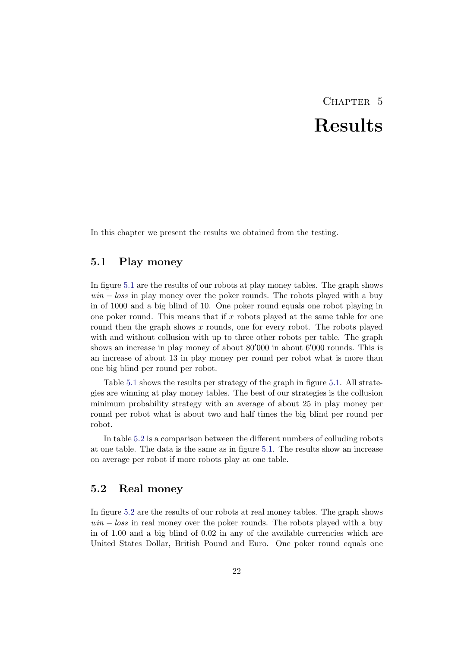# CHAPTER<sub>5</sub> Results

<span id="page-25-0"></span>In this chapter we present the results we obtained from the testing.

## <span id="page-25-1"></span>5.1 Play money

In figure [5.1](#page-26-0) are the results of our robots at play money tables. The graph shows  $win - loss$  in play money over the poker rounds. The robots played with a buy in of 1000 and a big blind of 10. One poker round equals one robot playing in one poker round. This means that if x robots played at the same table for one round then the graph shows  $x$  rounds, one for every robot. The robots played with and without collusion with up to three other robots per table. The graph shows an increase in play money of about  $80'000$  in about  $6'000$  rounds. This is an increase of about 13 in play money per round per robot what is more than one big blind per round per robot.

Table [5.1](#page-26-1) shows the results per strategy of the graph in figure [5.1.](#page-26-0) All strategies are winning at play money tables. The best of our strategies is the collusion minimum probability strategy with an average of about 25 in play money per round per robot what is about two and half times the big blind per round per robot.

In table [5.2](#page-26-2) is a comparison between the different numbers of colluding robots at one table. The data is the same as in figure [5.1.](#page-26-0) The results show an increase on average per robot if more robots play at one table.

## <span id="page-25-2"></span>5.2 Real money

In figure [5.2](#page-27-0) are the results of our robots at real money tables. The graph shows  $win - loss$  in real money over the poker rounds. The robots played with a buy in of 1.00 and a big blind of 0.02 in any of the available currencies which are United States Dollar, British Pound and Euro. One poker round equals one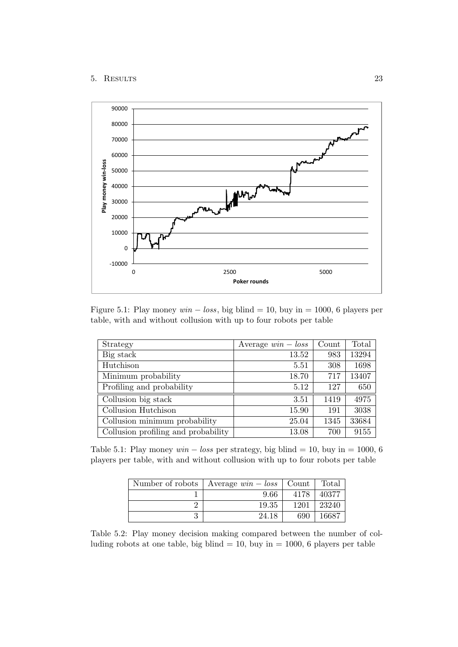#### 5. Results 23



<span id="page-26-0"></span>Figure 5.1: Play money  $win - loss$ , big blind = 10, buy in = 1000, 6 players per table, with and without collusion with up to four robots per table

| Strategy                            | Average $win - loss$ | Count | Total |
|-------------------------------------|----------------------|-------|-------|
| Big stack                           | 13.52                | 983   | 13294 |
| Hutchison                           | 5.51                 | 308   | 1698  |
| Minimum probability                 | 18.70                | 717   | 13407 |
| Profiling and probability           | 5.12                 | 127   | 650   |
| Collusion big stack                 | 3.51                 | 1419  | 4975  |
| Collusion Hutchison                 | 15.90                | 191   | 3038  |
| Collusion minimum probability       | 25.04                | 1345  | 33684 |
| Collusion profiling and probability | 13.08                | 700   | 9155  |

Table 5.1: Play money  $win - loss$  per strategy, big blind = 10, buy in = 1000, 6 players per table, with and without collusion with up to four robots per table

<span id="page-26-1"></span>

| Number of robots   Average $win - loss$   Count |      | Total |
|-------------------------------------------------|------|-------|
| 9.66                                            | 4178 | 40377 |
| 19.35                                           | 1201 | 23240 |
| 24.18                                           | 690  | 16687 |

<span id="page-26-2"></span>Table 5.2: Play money decision making compared between the number of colluding robots at one table, big blind  $= 10$ , buy in  $= 1000$ , 6 players per table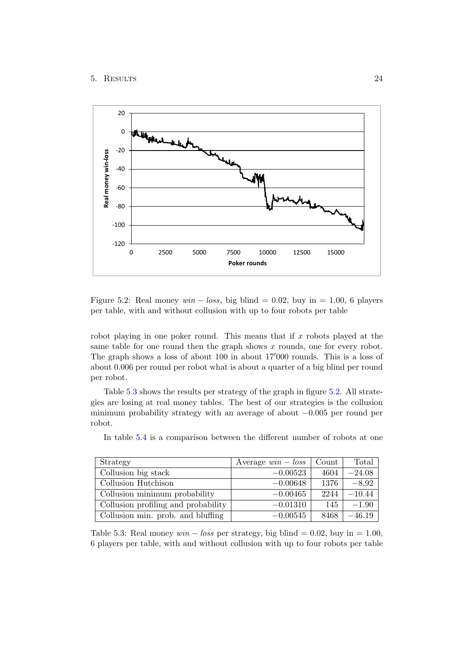#### 5. Results 24



<span id="page-27-0"></span>Figure 5.2: Real money  $win - loss$ , big blind = 0.02, buy in = 1.00, 6 players per table, with and without collusion with up to four robots per table

robot playing in one poker round. This means that if  $x$  robots played at the same table for one round then the graph shows  $x$  rounds, one for every robot. The graph shows a loss of about 100 in about 17'000 rounds. This is a loss of about 0.006 per round per robot what is about a quarter of a big blind per round per robot.

Table [5.3](#page-27-1) shows the results per strategy of the graph in figure [5.2.](#page-27-0) All strategies are losing at real money tables. The best of our strategies is the collusion minimum probability strategy with an average of about −0.005 per round per robot.

| Strategy                            | Average $win - loss$ | Count | Total    |
|-------------------------------------|----------------------|-------|----------|
| Collusion big stack                 | $-0.00523$           | 4604  | $-24.08$ |
| Collusion Hutchison                 | $-0.00648$           | 1376  | $-8.92$  |
| Collusion minimum probability       | $-0.00465$           | 2244  | $-10.44$ |
| Collusion profiling and probability | $-0.01310$           | 145   | $-1.90$  |
| Collusion min. prob. and bluffing   | $-0.00545$           | 8468  | $-46.19$ |

In table [5.4](#page-28-1) is a comparison between the different number of robots at one

<span id="page-27-1"></span>Table 5.3: Real money  $win - loss$  per strategy, big blind = 0.02, buy in = 1.00, 6 players per table, with and without collusion with up to four robots per table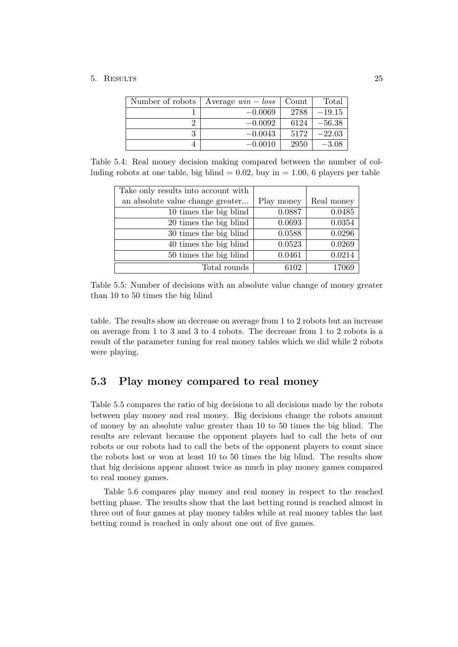## 5. Results 25

| Number of robots | Average $win - loss$ | Count | Total    |
|------------------|----------------------|-------|----------|
|                  | $-0.0069$            | 2788  | $-19.15$ |
|                  | $-0.0092$            | 6124  | $-56.38$ |
|                  | $-0.0043$            | 5172  | $-22.03$ |
|                  | $-0.0010$            | 2950  | $-3.08$  |

Table 5.4: Real money decision making compared between the number of colluding robots at one table, big blind  $= 0.02$ , buy in  $= 1.00$ , 6 players per table

<span id="page-28-1"></span>

| Take only results into account with |            |            |
|-------------------------------------|------------|------------|
| an absolute value change greater    | Play money | Real money |
| 10 times the big blind              | 0.0887     | 0.0485     |
| 20 times the big blind              | 0.0693     | 0.0354     |
| 30 times the big blind              | 0.0588     | 0.0296     |
| 40 times the big blind              | 0.0523     | 0.0269     |
| 50 times the big blind              | 0.0461     | 0.0214     |
| Total rounds                        | 6102       | 17069      |

<span id="page-28-2"></span>Table 5.5: Number of decisions with an absolute value change of money greater than 10 to 50 times the big blind

table. The results show an decrease on average from 1 to 2 robots but an increase on average from 1 to 3 and 3 to 4 robots. The decrease from 1 to 2 robots is a result of the parameter tuning for real money tables which we did while 2 robots were playing.

## <span id="page-28-0"></span>5.3 Play money compared to real money

Table [5.5](#page-28-2) compares the ratio of big decisions to all decisions made by the robots between play money and real money. Big decisions change the robots amount of money by an absolute value greater than 10 to 50 times the big blind. The results are relevant because the opponent players had to call the bets of our robots or our robots had to call the bets of the opponent players to count since the robots lost or won at least 10 to 50 times the big blind. The results show that big decisions appear almost twice as much in play money games compared to real money games.

Table [5.6](#page-29-0) compares play money and real money in respect to the reached betting phase. The results show that the last betting round is reached almost in three out of four games at play money tables while at real money tables the last betting round is reached in only about one out of five games.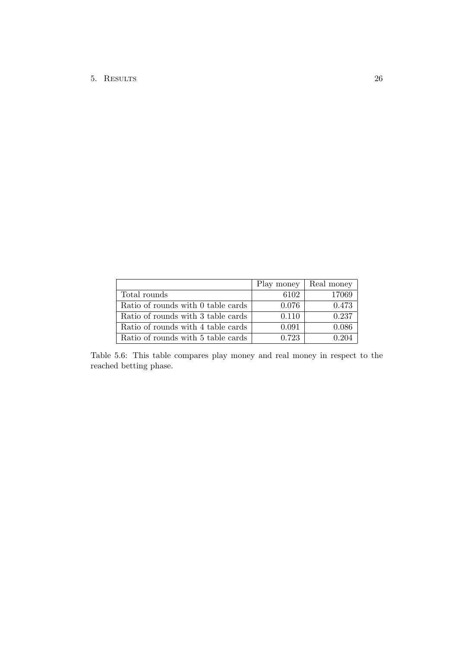|                                    | Play money | Real money |
|------------------------------------|------------|------------|
| Total rounds                       | 6102       | 17069      |
| Ratio of rounds with 0 table cards | 0.076      | 0.473      |
| Ratio of rounds with 3 table cards | 0.110      | 0.237      |
| Ratio of rounds with 4 table cards | 0.091      | 0.086      |
| Ratio of rounds with 5 table cards | 0.723      | 0.204      |

<span id="page-29-0"></span>Table 5.6: This table compares play money and real money in respect to the reached betting phase.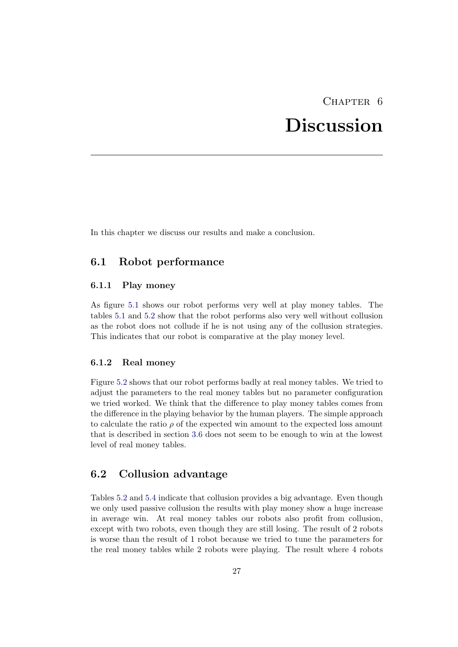## CHAPTER<sub>6</sub>

## Discussion

<span id="page-30-0"></span>In this chapter we discuss our results and make a conclusion.

## <span id="page-30-1"></span>6.1 Robot performance

#### <span id="page-30-2"></span>6.1.1 Play money

As figure [5.1](#page-26-0) shows our robot performs very well at play money tables. The tables [5.1](#page-26-1) and [5.2](#page-26-2) show that the robot performs also very well without collusion as the robot does not collude if he is not using any of the collusion strategies. This indicates that our robot is comparative at the play money level.

### <span id="page-30-3"></span>6.1.2 Real money

Figure [5.2](#page-27-0) shows that our robot performs badly at real money tables. We tried to adjust the parameters to the real money tables but no parameter configuration we tried worked. We think that the difference to play money tables comes from the difference in the playing behavior by the human players. The simple approach to calculate the ratio  $\rho$  of the expected win amount to the expected loss amount that is described in section [3.6](#page-14-0) does not seem to be enough to win at the lowest level of real money tables.

## <span id="page-30-4"></span>6.2 Collusion advantage

Tables [5.2](#page-26-2) and [5.4](#page-28-1) indicate that collusion provides a big advantage. Even though we only used passive collusion the results with play money show a huge increase in average win. At real money tables our robots also profit from collusion, except with two robots, even though they are still losing. The result of 2 robots is worse than the result of 1 robot because we tried to tune the parameters for the real money tables while 2 robots were playing. The result where 4 robots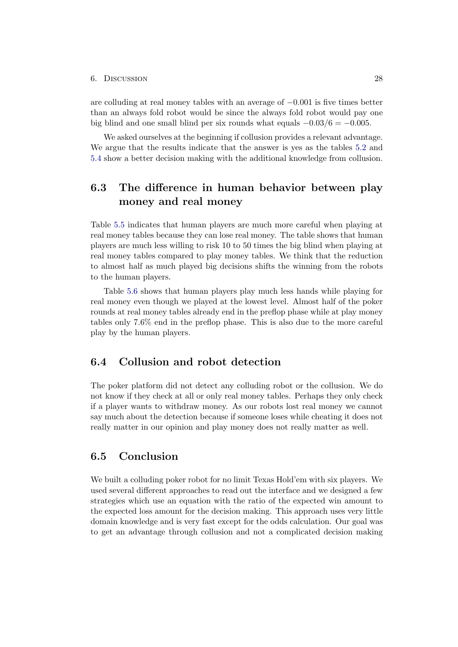#### 6. Discussion 28

are colluding at real money tables with an average of −0.001 is five times better than an always fold robot would be since the always fold robot would pay one big blind and one small blind per six rounds what equals  $-0.03/6 = -0.005$ .

We asked ourselves at the beginning if collusion provides a relevant advantage. We argue that the results indicate that the answer is yes as the tables [5.2](#page-26-2) and [5.4](#page-28-1) show a better decision making with the additional knowledge from collusion.

## <span id="page-31-0"></span>6.3 The difference in human behavior between play money and real money

Table [5.5](#page-28-2) indicates that human players are much more careful when playing at real money tables because they can lose real money. The table shows that human players are much less willing to risk 10 to 50 times the big blind when playing at real money tables compared to play money tables. We think that the reduction to almost half as much played big decisions shifts the winning from the robots to the human players.

Table [5.6](#page-29-0) shows that human players play much less hands while playing for real money even though we played at the lowest level. Almost half of the poker rounds at real money tables already end in the preflop phase while at play money tables only 7.6% end in the preflop phase. This is also due to the more careful play by the human players.

## <span id="page-31-1"></span>6.4 Collusion and robot detection

The poker platform did not detect any colluding robot or the collusion. We do not know if they check at all or only real money tables. Perhaps they only check if a player wants to withdraw money. As our robots lost real money we cannot say much about the detection because if someone loses while cheating it does not really matter in our opinion and play money does not really matter as well.

## <span id="page-31-2"></span>6.5 Conclusion

We built a colluding poker robot for no limit Texas Hold'em with six players. We used several different approaches to read out the interface and we designed a few strategies which use an equation with the ratio of the expected win amount to the expected loss amount for the decision making. This approach uses very little domain knowledge and is very fast except for the odds calculation. Our goal was to get an advantage through collusion and not a complicated decision making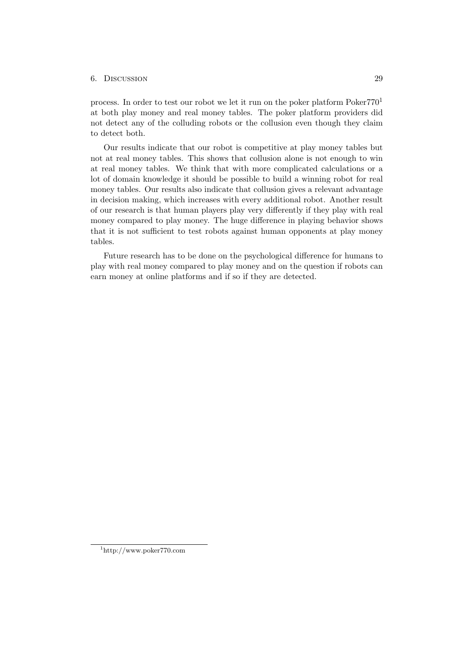#### 6. Discussion 29

process. In order to test our robot we let it run on the poker platform  $Poker770<sup>1</sup>$ at both play money and real money tables. The poker platform providers did not detect any of the colluding robots or the collusion even though they claim to detect both.

Our results indicate that our robot is competitive at play money tables but not at real money tables. This shows that collusion alone is not enough to win at real money tables. We think that with more complicated calculations or a lot of domain knowledge it should be possible to build a winning robot for real money tables. Our results also indicate that collusion gives a relevant advantage in decision making, which increases with every additional robot. Another result of our research is that human players play very differently if they play with real money compared to play money. The huge difference in playing behavior shows that it is not sufficient to test robots against human opponents at play money tables.

Future research has to be done on the psychological difference for humans to play with real money compared to play money and on the question if robots can earn money at online platforms and if so if they are detected.

<sup>1</sup>http://www.poker770.com